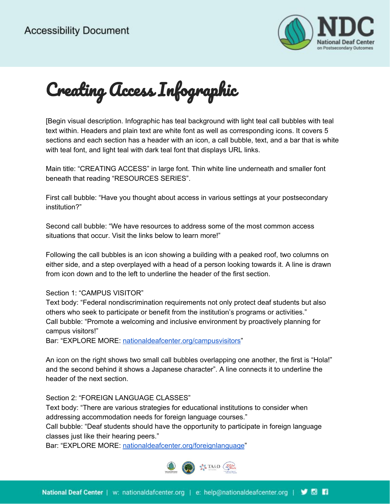

Creating Access Infographic

[Begin visual description. Infographic has teal background with light teal call bubbles with teal text within. Headers and plain text are white font as well as corresponding icons. It covers 5 sections and each section has a header with an icon, a call bubble, text, and a bar that is white with teal font, and light teal with dark teal font that displays URL links.

Main title: "CREATING ACCESS" in large font. Thin white line underneath and smaller font beneath that reading "RESOURCES SERIES".

First call bubble: "Have you thought about access in various settings at your postsecondary institution?"

Second call bubble: "We have resources to address some of the most common access situations that occur. Visit the links below to learn more!"

Following the call bubbles is an icon showing a building with a peaked roof, two columns on either side, and a step overplayed with a head of a person looking towards it. A line is drawn from icon down and to the left to underline the header of the first section.

## Section 1: "CAMPUS VISITOR"

Text body: "Federal nondiscrimination requirements not only protect deaf students but also others who seek to participate or benefit from the institution's programs or activities." Call bubble: "Promote a welcoming and inclusive environment by proactively planning for campus visitors!"

Bar: "EXPLORE MORE: [nationaldeafcenter.org/campusvisitors](http://nationaldeafcenter.org/campusvisitors)"

An icon on the right shows two small call bubbles overlapping one another, the first is "Hola!" and the second behind it shows a Japanese character". A line connects it to underline the header of the next section.

Section 2: "FOREIGN LANGUAGE CLASSES"

Text body: "There are various strategies for educational institutions to consider when addressing accommodation needs for foreign language courses."

Call bubble: "Deaf students should have the opportunity to participate in foreign language classes just like their hearing peers."

Bar: "EXPLORE MORE: [nationaldeafcenter.org/foreignlanguage](http://nationaldeafcenter.org/foreignlanguage)"

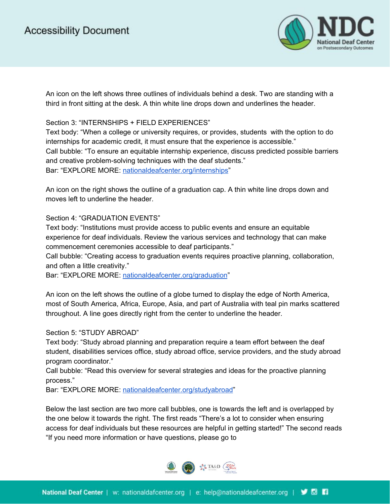

An icon on the left shows three outlines of individuals behind a desk. Two are standing with a third in front sitting at the desk. A thin white line drops down and underlines the header.

Section 3: "INTERNSHIPS + FIELD EXPERIENCES"

Text body: "When a college or university requires, or provides, students with the option to do internships for academic credit, it must ensure that the experience is accessible." Call bubble: "To ensure an equitable internship experience, discuss predicted possible barriers and creative problem-solving techniques with the deaf students." Bar: "EXPLORE MORE: [nationaldeafcenter.org/internships](http://nationaldeafcenter.org/internships)"

An icon on the right shows the outline of a graduation cap. A thin white line drops down and moves left to underline the header.

## Section 4: "GRADUATION EVENTS"

Text body: "Institutions must provide access to public events and ensure an equitable experience for deaf individuals. Review the various services and technology that can make commencement ceremonies accessible to deaf participants."

Call bubble: "Creating access to graduation events requires proactive planning, collaboration, and often a little creativity."

Bar: "EXPLORE MORE: [nationaldeafcenter.org/graduation](http://nationaldeafcenter.org/graduation)"

An icon on the left shows the outline of a globe turned to display the edge of North America, most of South America, Africa, Europe, Asia, and part of Australia with teal pin marks scattered throughout. A line goes directly right from the center to underline the header.

Section 5: "STUDY ABROAD"

Text body: "Study abroad planning and preparation require a team effort between the deaf student, disabilities services office, study abroad office, service providers, and the study abroad program coordinator."

Call bubble: "Read this overview for several strategies and ideas for the proactive planning process."

Bar: "EXPLORE MORE: [nationaldeafcenter.org/studyabroad"](http://nationaldeafcenter.org/studyabroad)

Below the last section are two more call bubbles, one is towards the left and is overlapped by the one below it towards the right. The first reads "There's a lot to consider when ensuring access for deaf individuals but these resources are helpful in getting started!" The second reads "If you need more information or have questions, please go to